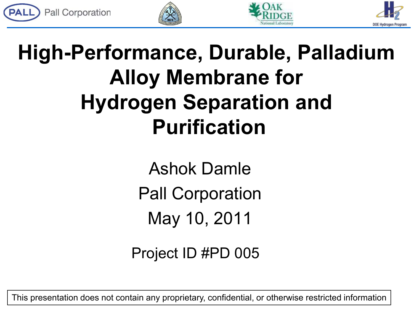







# **High-Performance, Durable, Palladium Alloy Membrane for Hydrogen Separation and Purification**

Ashok Damle Pall Corporation May 10, 2011

Project ID #PD 005

This presentation does not contain any proprietary, confidential, or otherwise restricted information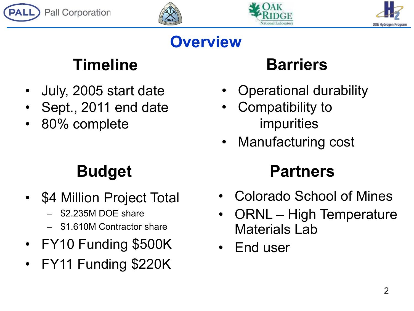







# **Overview**

# **Timeline Barriers**

- July, 2005 start date
- Sept., 2011 end date
- 80% complete

- \$4 Million Project Total
	- \$2.235M DOE share
	- \$1.610M Contractor share
- FY10 Funding \$500K
- FY11 Funding \$220K

- Operational durability
- Compatibility to impurities
- Manufacturing cost

# **Budget Partners**

- Colorado School of Mines
- ORNL High Temperature Materials Lab
- End user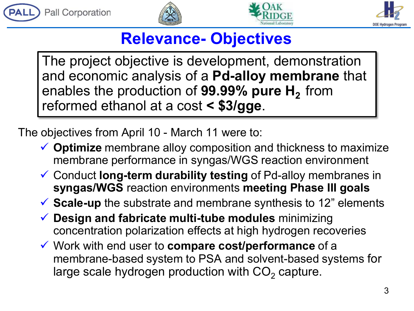







## **Relevance- Objectives**

The project objective is development, demonstration and economic analysis of a **Pd-alloy membrane** that enables the production of **99.99% pure H**<sub>2</sub> from reformed ethanol at a cost **< \$3/gge**.

The objectives from April 10 - March 11 were to:

- **Optimize** membrane alloy composition and thickness to maximize membrane performance in syngas/WGS reaction environment
- Conduct **long-term durability testing** of Pd-alloy membranes in **syngas/WGS** reaction environments **meeting Phase III goals**
- **Scale-up** the substrate and membrane synthesis to 12" elements
- **Design and fabricate multi-tube modules** minimizing concentration polarization effects at high hydrogen recoveries
- Work with end user to **compare cost/performance** of a membrane-based system to PSA and solvent-based systems for large scale hydrogen production with  $CO<sub>2</sub>$  capture.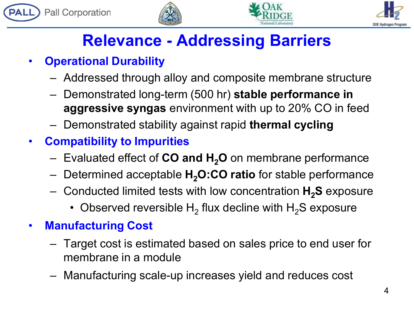







# **Relevance - Addressing Barriers**

#### • **Operational Durability**

- Addressed through alloy and composite membrane structure
- Demonstrated long-term (500 hr) **stable performance in aggressive syngas** environment with up to 20% CO in feed
- Demonstrated stability against rapid **thermal cycling**
- **Compatibility to Impurities**
	- Evaluated effect of **CO and H2O** on membrane performance
	- Determined acceptable **H<sub>2</sub>O:CO ratio** for stable performance
	- Conducted limited tests with low concentration **H2S** exposure
		- Observed reversible  $H_2$  flux decline with  $H_2S$  exposure
- **Manufacturing Cost**
	- Target cost is estimated based on sales price to end user for membrane in a module
	- Manufacturing scale-up increases yield and reduces cost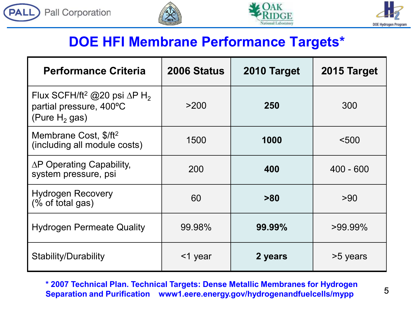







#### **DOE HFI Membrane Performance Targets\***

| <b>Performance Criteria</b>                                                                     | 2006 Status | 2010 Target | 2015 Target |  |
|-------------------------------------------------------------------------------------------------|-------------|-------------|-------------|--|
| Flux SCFH/ft <sup>2</sup> @20 psi $\Delta P H_2$<br>partial pressure, 400°C<br>(Pure $H_2$ gas) | >200        | 250         | 300         |  |
| Membrane Cost, \$/ft <sup>2</sup><br>(including all module costs)                               | 1500        | 1000        | < 500       |  |
| $\Delta P$ Operating Capability,<br>system pressure, psi                                        | 200         | 400         | $400 - 600$ |  |
| <b>Hydrogen Recovery</b><br>$(\%$ of total gas)                                                 | 60          | > 80        | >90         |  |
| <b>Hydrogen Permeate Quality</b>                                                                | 99.98%      | 99.99%      | $>99.99\%$  |  |
| <b>Stability/Durability</b>                                                                     | <1 year     | 2 years     | >5 years    |  |

**\* 2007 Technical Plan. Technical Targets: Dense Metallic Membranes for Hydrogen Separation and Purification www1.eere.energy.gov/hydrogenandfuelcells/mypp** 5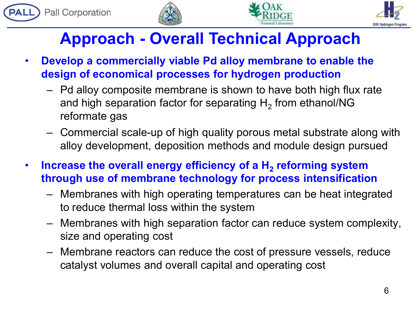







# **Approach - Overall Technical Approach**

- **Develop a commercially viable Pd alloy membrane to enable the design of economical processes for hydrogen production**
	- Pd alloy composite membrane is shown to have both high flux rate and high separation factor for separating  $H_2$  from ethanol/NG reformate gas
	- Commercial scale-up of high quality porous metal substrate along with alloy development, deposition methods and module design pursued
- **Increase the overall energy efficiency of a H<sub>2</sub> reforming system through use of membrane technology for process intensification**
	- Membranes with high operating temperatures can be heat integrated to reduce thermal loss within the system
	- Membranes with high separation factor can reduce system complexity, size and operating cost
	- Membrane reactors can reduce the cost of pressure vessels, reduce catalyst volumes and overall capital and operating cost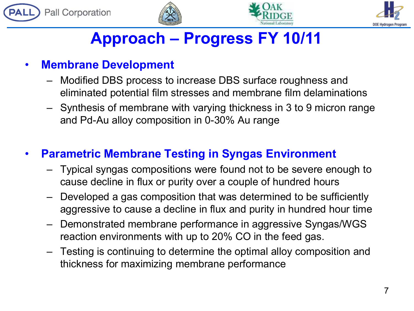







# **Approach – Progress FY 10/11**

#### • **Membrane Development**

- Modified DBS process to increase DBS surface roughness and eliminated potential film stresses and membrane film delaminations
- Synthesis of membrane with varying thickness in 3 to 9 micron range and Pd-Au alloy composition in 0-30% Au range

#### • **Parametric Membrane Testing in Syngas Environment**

- Typical syngas compositions were found not to be severe enough to cause decline in flux or purity over a couple of hundred hours
- Developed a gas composition that was determined to be sufficiently aggressive to cause a decline in flux and purity in hundred hour time
- Demonstrated membrane performance in aggressive Syngas/WGS reaction environments with up to 20% CO in the feed gas.
- Testing is continuing to determine the optimal alloy composition and thickness for maximizing membrane performance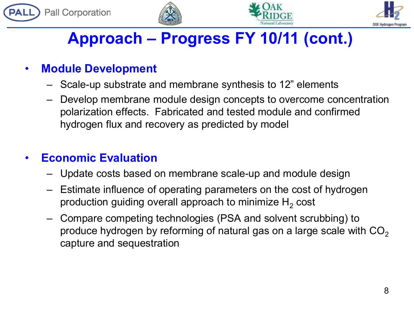







# **Approach – Progress FY 10/11 (cont.)**

#### • **Module Development**

- Scale-up substrate and membrane synthesis to 12" elements
- Develop membrane module design concepts to overcome concentration polarization effects. Fabricated and tested module and confirmed hydrogen flux and recovery as predicted by model

#### • **Economic Evaluation**

- Update costs based on membrane scale-up and module design
- Estimate influence of operating parameters on the cost of hydrogen production guiding overall approach to minimize  $H_2$  cost
- Compare competing technologies (PSA and solvent scrubbing) to produce hydrogen by reforming of natural gas on a large scale with  $CO<sub>2</sub>$ capture and sequestration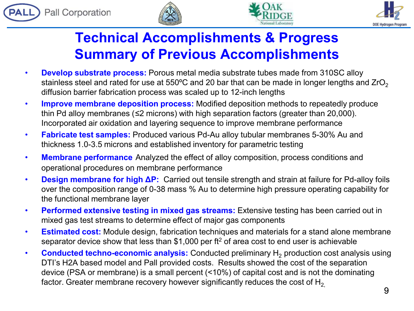







#### **Technical Accomplishments & Progress Summary of Previous Accomplishments**

- **Develop substrate process:** Porous metal media substrate tubes made from 310SC alloy stainless steel and rated for use at 550 $^{\circ}$ C and 20 bar that can be made in longer lengths and ZrO<sub>2</sub> diffusion barrier fabrication process was scaled up to 12-inch lengths
- **Improve membrane deposition process:** Modified deposition methods to repeatedly produce thin Pd alloy membranes (≤2 microns) with high separation factors (greater than 20,000). Incorporated air oxidation and layering sequence to improve membrane performance
- **Fabricate test samples:** Produced various Pd-Au alloy tubular membranes 5-30% Au and thickness 1.0-3.5 microns and established inventory for parametric testing
- **Membrane performance** Analyzed the effect of alloy composition, process conditions and operational procedures on membrane performance
- **Design membrane for high ΔP:** Carried out tensile strength and strain at failure for Pd-alloy foils over the composition range of 0-38 mass % Au to determine high pressure operating capability for the functional membrane layer
- **Performed extensive testing in mixed gas streams:** Extensive testing has been carried out in mixed gas test streams to determine effect of major gas components
- **Estimated cost:** Module design, fabrication techniques and materials for a stand alone membrane separator device show that less than \$1,000 per  $ft^2$  of area cost to end user is achievable
- **Conducted techno-economic analysis:** Conducted preliminary H<sub>2</sub> production cost analysis using DTI's H2A based model and Pall provided costs. Results showed the cost of the separation device (PSA or membrane) is a small percent (<10%) of capital cost and is not the dominating factor. Greater membrane recovery however significantly reduces the cost of  $H_2$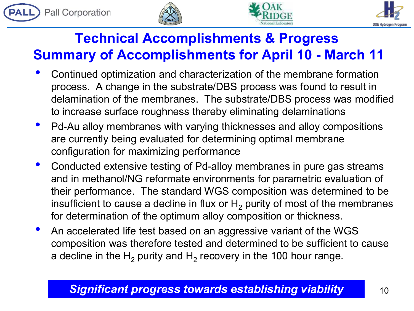







#### **Technical Accomplishments & Progress Summary of Accomplishments for April 10 - March 11**

- Continued optimization and characterization of the membrane formation process. A change in the substrate/DBS process was found to result in delamination of the membranes. The substrate/DBS process was modified to increase surface roughness thereby eliminating delaminations
- Pd-Au alloy membranes with varying thicknesses and alloy compositions are currently being evaluated for determining optimal membrane configuration for maximizing performance
- Conducted extensive testing of Pd-alloy membranes in pure gas streams and in methanol/NG reformate environments for parametric evaluation of their performance. The standard WGS composition was determined to be insufficient to cause a decline in flux or  $H_2$  purity of most of the membranes for determination of the optimum alloy composition or thickness.
- An accelerated life test based on an aggressive variant of the WGS composition was therefore tested and determined to be sufficient to cause a decline in the H<sub>2</sub> purity and H<sub>2</sub> recovery in the 100 hour range.

#### **Significant progress towards establishing viability 10 10**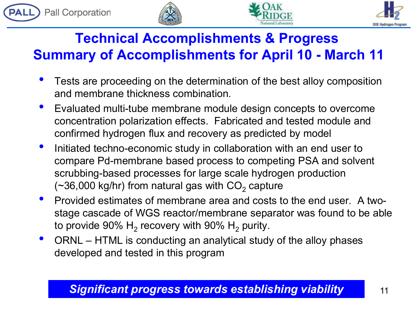







#### **Technical Accomplishments & Progress Summary of Accomplishments for April 10 - March 11**

- Tests are proceeding on the determination of the best alloy composition and membrane thickness combination.
- Evaluated multi-tube membrane module design concepts to overcome concentration polarization effects. Fabricated and tested module and confirmed hydrogen flux and recovery as predicted by model
- Initiated techno-economic study in collaboration with an end user to compare Pd-membrane based process to competing PSA and solvent scrubbing-based processes for large scale hydrogen production  $(\sim]36,000$  kg/hr) from natural gas with  $CO<sub>2</sub>$  capture
- Provided estimates of membrane area and costs to the end user. A twostage cascade of WGS reactor/membrane separator was found to be able to provide 90%  $H_2$  recovery with 90%  $H_2$  purity.
- ORNL HTML is conducting an analytical study of the alloy phases developed and tested in this program

#### *Significant progress towards establishing viability* 11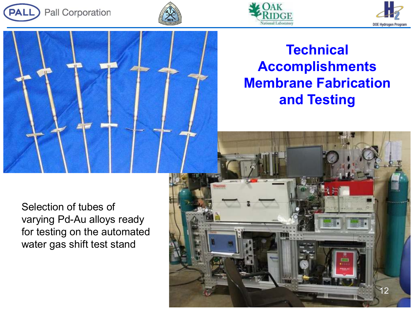









#### **Technical Accomplishments Membrane Fabrication and Testing**

Selection of tubes of varying Pd-Au alloys ready for testing on the automated water gas shift test stand

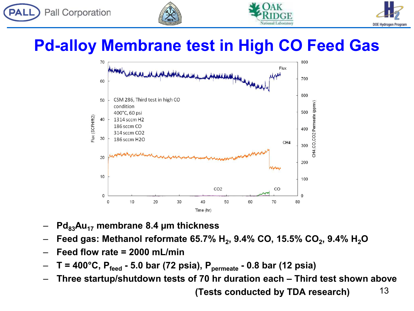







# **Pd-alloy Membrane test in High CO Feed Gas**



- Pd<sub>83</sub>Au<sub>17</sub> membrane 8.4 µm thickness
- **Feed gas: Methanol reformate 65.7% H<sub>2</sub>, 9.4% CO, 15.5% CO<sub>2</sub>, 9.4% H<sub>2</sub>O**
- **Feed flow rate = 2000 mL/min**
- **T = 400°C, Pfeed - 5.0 bar (72 psia), Ppermeate - 0.8 bar (12 psia)**
- **Three startup/shutdown tests of 70 hr duration each – Third test shown above**

**(Tests conducted by TDA research)** 13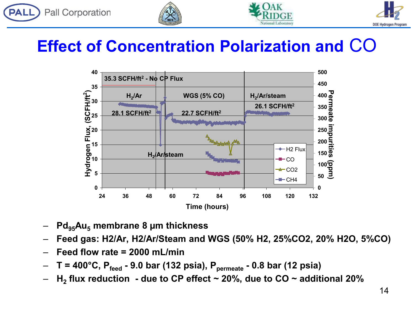







# **Effect of Concentration Polarization and** CO



- **Pd95Au5 membrane 8 µm thickness**
- **Feed gas: H2/Ar, H2/Ar/Steam and WGS (50% H2, 25%CO2, 20% H2O, 5%CO)**
- **Feed flow rate = 2000 mL/min**
- **T = 400°C, Pfeed - 9.0 bar (132 psia), Ppermeate - 0.8 bar (12 psia)**
- $H_2$  flux reduction due to CP effect  $\sim$  20%, due to CO  $\sim$  additional 20%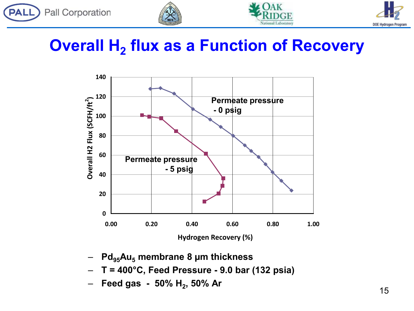







## **Overall H<sub>2</sub> flux as a Function of Recovery**



- Pd<sub>95</sub>Au<sub>5</sub> membrane 8 µm thickness
- **T = 400°C, Feed Pressure 9.0 bar (132 psia)**
- **Feed gas - 50% H2, 50% Ar**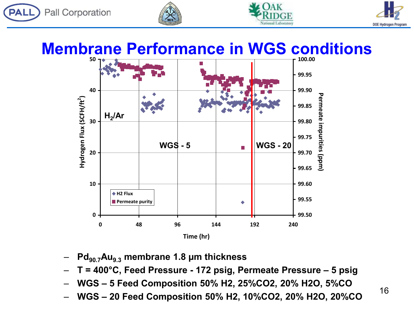







## **Membrane Performance in WGS conditions**



- Pd<sub>90.7</sub>Au<sub>9.3</sub> membrane 1.8 µm thickness
- **T = 400°C, Feed Pressure - 172 psig, Permeate Pressure – 5 psig**
- **WGS – 5 Feed Composition 50% H2, 25%CO2, 20% H2O, 5%CO**
- **WGS – 20 Feed Composition 50% H2, 10%CO2, 20% H2O, 20%CO**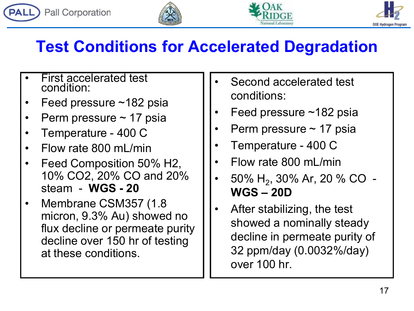







# **Test Conditions for Accelerated Degradation**

- **First accelerated test** condition:
- Feed pressure  $~182$  psia
- Perm pressure  $\sim$  17 psia
- Temperature 400 C
- Flow rate 800 mL/min
- Feed Composition 50% H2, 10% CO2, 20% CO and 20% steam - **WGS - 20**
- Membrane CSM357 (1.8 micron, 9.3% Au) showed no flux decline or permeate purity decline over 150 hr of testing at these conditions.
- Second accelerated test conditions:
- Feed pressure  $~182$  psia
- Perm pressure  $\sim$  17 psia
- Temperature 400 C
- Flow rate 800 mL/min
- 50% H<sub>2</sub>, 30% Ar, 20 % CO **WGS – 20D**
- After stabilizing, the test showed a nominally steady decline in permeate purity of 32 ppm/day (0.0032%/day) over 100 hr.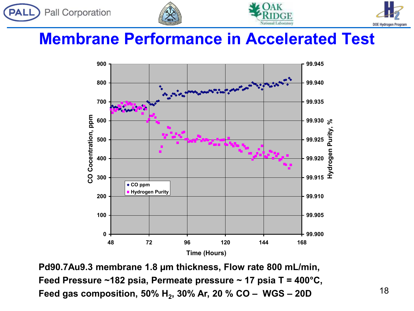







#### **Membrane Performance in Accelerated Test**



**Pd90.7Au9.3 membrane 1.8 µm thickness, Flow rate 800 mL/min, Feed Pressure ~182 psia, Permeate pressure ~ 17 psia T = 400°C,**  Feed gas composition, 50% H<sub>2</sub>, 30% Ar, 20 % CO – WGS – 20D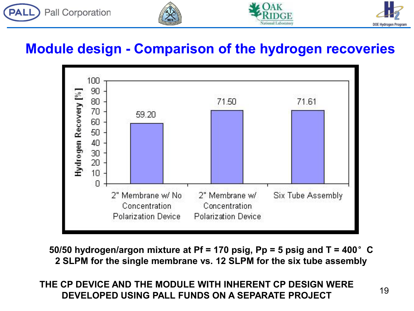







#### **Module design - Comparison of the hydrogen recoveries**



**50/50 hydrogen/argon mixture at Pf = 170 psig, Pp = 5 psig and T = 400**°**C 2 SLPM for the single membrane vs. 12 SLPM for the six tube assembly** 

THE CP DEVICE AND THE MODULE WITH INHERENT CP DESIGN WERE  $^{19}$ **DEVELOPED USING PALL FUNDS ON A SEPARATE PROJECT**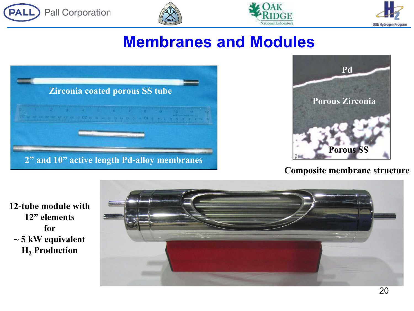







## **Membranes and Modules**

|  |                                              |  | <b>Zirconia coated porous SS tube</b> |  |
|--|----------------------------------------------|--|---------------------------------------|--|
|  | THE REAL ARRANGEMENT OF THE REAL PROPERTY OF |  |                                       |  |
|  |                                              |  |                                       |  |



#### **Composite membrane structure**

**12-tube module with 12" elements for ~ 5 kW equivalent H2 Production**

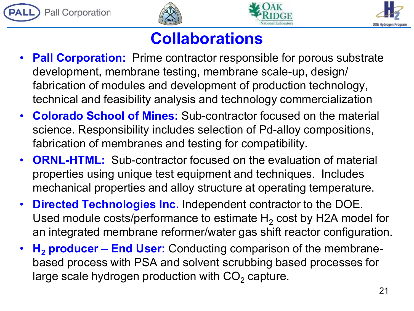







## **Collaborations**

- **Pall Corporation:** Prime contractor responsible for porous substrate development, membrane testing, membrane scale-up, design/ fabrication of modules and development of production technology, technical and feasibility analysis and technology commercialization
- **Colorado School of Mines:** Sub-contractor focused on the material science. Responsibility includes selection of Pd-alloy compositions, fabrication of membranes and testing for compatibility.
- **ORNL-HTML:** Sub-contractor focused on the evaluation of material properties using unique test equipment and techniques. Includes mechanical properties and alloy structure at operating temperature.
- **Directed Technologies Inc.** Independent contractor to the DOE. Used module costs/performance to estimate  $H<sub>2</sub>$  cost by H2A model for an integrated membrane reformer/water gas shift reactor configuration.
- **H2 producer – End User:** Conducting comparison of the membranebased process with PSA and solvent scrubbing based processes for large scale hydrogen production with  $CO<sub>2</sub>$  capture.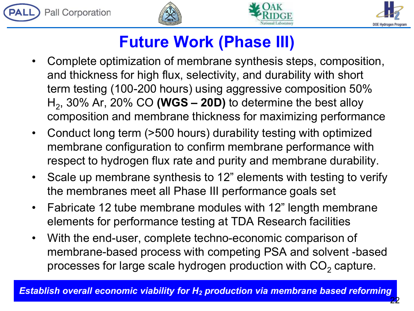







22

# **Future Work (Phase III)**

- Complete optimization of membrane synthesis steps, composition, and thickness for high flux, selectivity, and durability with short term testing (100-200 hours) using aggressive composition 50% H2, 30% Ar, 20% CO **(WGS – 20D)** to determine the best alloy composition and membrane thickness for maximizing performance
- Conduct long term (>500 hours) durability testing with optimized membrane configuration to confirm membrane performance with respect to hydrogen flux rate and purity and membrane durability.
- Scale up membrane synthesis to 12" elements with testing to verify the membranes meet all Phase III performance goals set
- Fabricate 12 tube membrane modules with 12" length membrane elements for performance testing at TDA Research facilities
- With the end-user, complete techno-economic comparison of membrane-based process with competing PSA and solvent -based processes for large scale hydrogen production with  $CO<sub>2</sub>$  capture.

**Establish overall economic viability for H<sub>2</sub> production via membrane based reforming**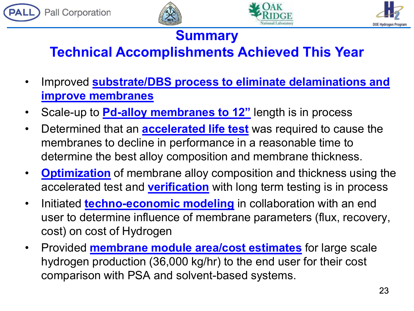







### **Summary**

## **Technical Accomplishments Achieved This Year**

- Improved **substrate/DBS process to eliminate delaminations and improve membranes**
- Scale-up to **Pd-alloy membranes to 12"** length is in process
- Determined that an **accelerated life test** was required to cause the membranes to decline in performance in a reasonable time to determine the best alloy composition and membrane thickness.
- **Optimization** of membrane alloy composition and thickness using the accelerated test and **verification** with long term testing is in process
- Initiated **techno-economic modeling** in collaboration with an end user to determine influence of membrane parameters (flux, recovery, cost) on cost of Hydrogen
- Provided **membrane module area/cost estimates** for large scale hydrogen production (36,000 kg/hr) to the end user for their cost comparison with PSA and solvent-based systems.